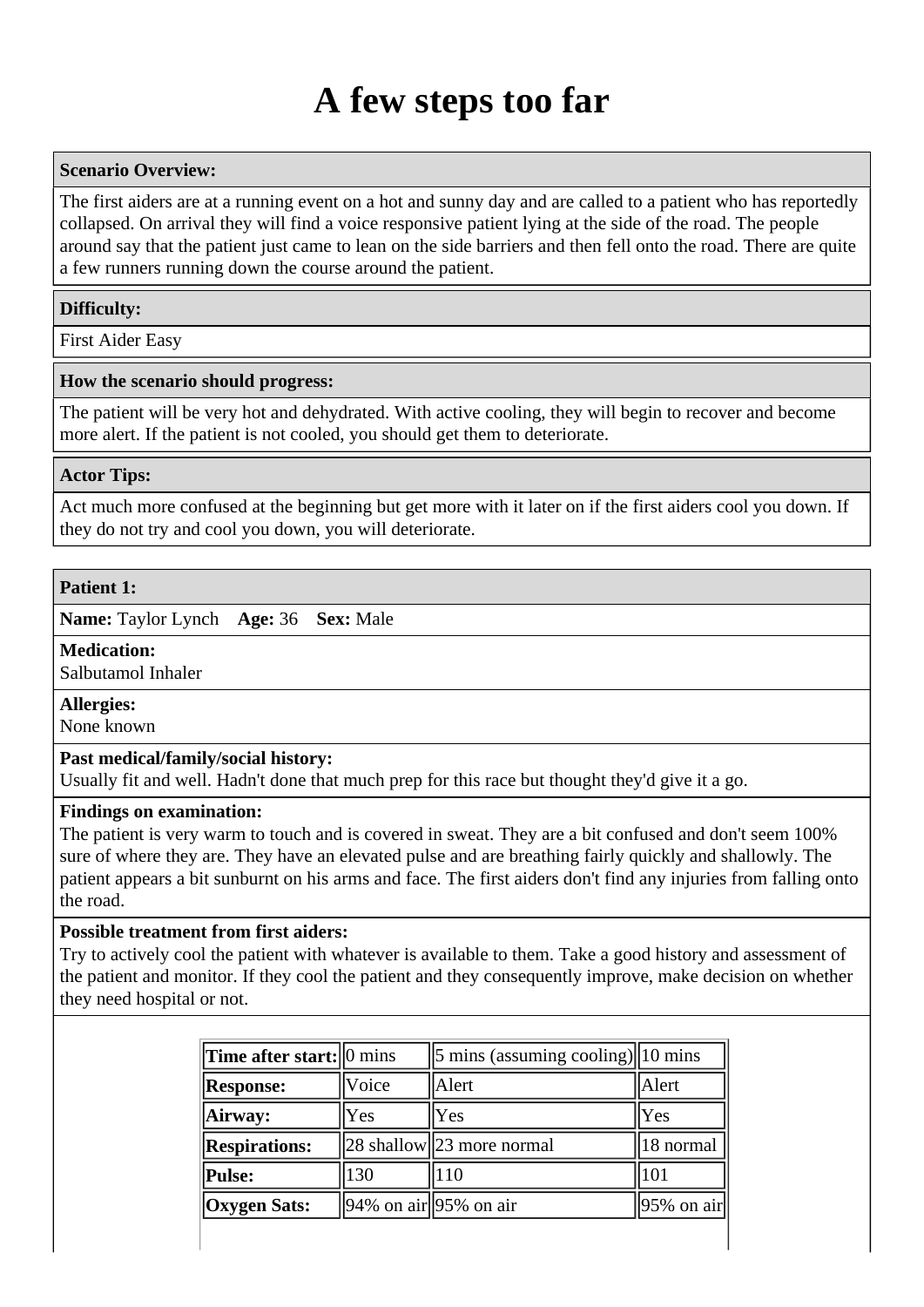# **A few steps too far**

# **Scenario Overview:**

The first aiders are at a running event on a hot and sunny day and are called to a patient who has reportedly collapsed. On arrival they will find a voice responsive patient lying at the side of the road. The people around say that the patient just came to lean on the side barriers and then fell onto the road. There are quite a few runners running down the course around the patient.

# **Difficulty:**

First Aider Easy

# **How the scenario should progress:**

The patient will be very hot and dehydrated. With active cooling, they will begin to recover and become more alert. If the patient is not cooled, you should get them to deteriorate.

# **Actor Tips:**

Act much more confused at the beginning but get more with it later on if the first aiders cool you down. If they do not try and cool you down, you will deteriorate.

# **Patient 1:**

**Name:** Taylor Lynch **Age:** 36 **Sex:** Male

#### **Medication:**

Salbutamol Inhaler

# **Allergies:**

None known

# **Past medical/family/social history:**

Usually fit and well. Hadn't done that much prep for this race but thought they'd give it a go.

#### **Findings on examination:**

The patient is very warm to touch and is covered in sweat. They are a bit confused and don't seem 100% sure of where they are. They have an elevated pulse and are breathing fairly quickly and shallowly. The patient appears a bit sunburnt on his arms and face. The first aiders don't find any injuries from falling onto the road.

# **Possible treatment from first aiders:**

Try to actively cool the patient with whatever is available to them. Take a good history and assessment of the patient and monitor. If they cool the patient and they consequently improve, make decision on whether they need hospital or not.

| Time after start: $\vert$ mins |                                                         | $\frac{5 \text{ mins}}{2}$ (assuming cooling) 10 mins |                        |
|--------------------------------|---------------------------------------------------------|-------------------------------------------------------|------------------------|
| <b>Response:</b>               | Voice                                                   | Alert                                                 | Alert                  |
| Airway:                        | Yes                                                     | Yes                                                   | Yes                    |
| <b>Respirations:</b>           |                                                         | $28$ shallow $23$ more normal                         | 18 normal              |
| Pulse:                         | 130                                                     | 110                                                   | 101                    |
| <b>Oxygen Sats:</b>            | $\left 94\% \text{ on air} \right  95\% \text{ on air}$ |                                                       | $\parallel$ 95% on air |